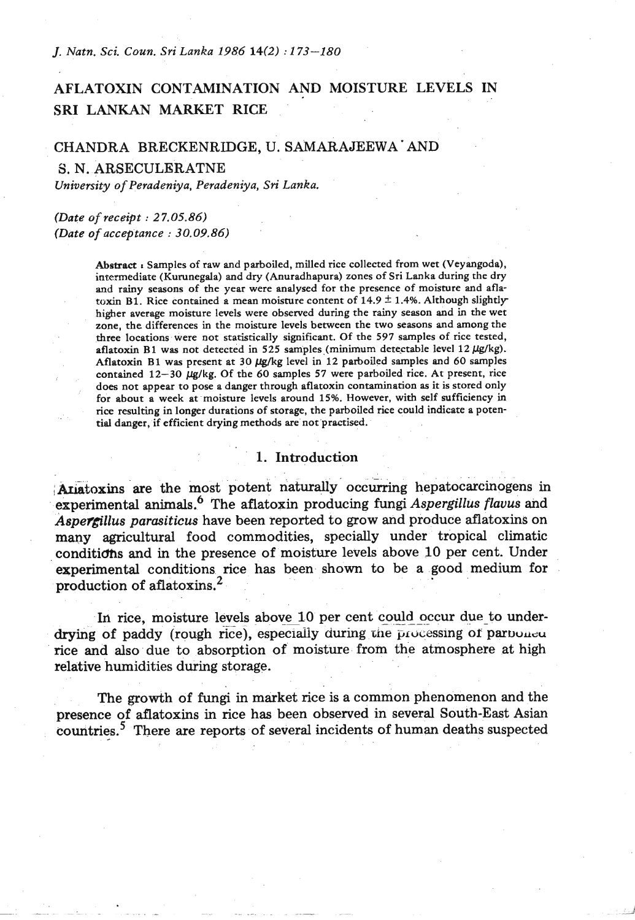*J. Natn. Sci. Coun. Sri Lanka 1986* **14(2)** : *173-180* 

# AFLATOXIN CONTAMINATION AND MOISTURE LEVELS IN SRI LANKAN MARKET RICE

#### CHANDRA BRECKENRIDGE, U. SAMARAJEEWA AND

**S.** N. ARSECULERATNE

*University* of *Peradeniya, Peradeniya, Sri Lanka.* 

#### *(Date of receipt* : *27.05.86) (Date* **of** *acceptance* : *30.09.86)*

Abstract *r* Samples of raw and parboiled, milled rice collected from wet (Veyangoda), intermediate (Kumnegda) and dry (Anuradhapura) zones of Sri Lanka during the dry and rainy seasons of the year were analysed for the presence of moisture and aflatoxin **B1**. Rice contained a mean moisture content of  $14.9 \pm 1.4\%$ . Although slightly higher average moisture levels were observed during the rainy season and in the wet zone, the differences in the moisture levels between the two seasons and among the three locations were not statistically significant. Of the **597** samples of rice tested, aflatoxin **B1** was not detected in **525** samples (minimum detectable level **12** /&/kg). Aflatoxin **B1** was present at **30** Wg level in **12** parboiled samples and **60** samples contained **12-30** /&/kg. Of the **60** samples **57** were parboiled rice. At present, rice does not appear to pose a danger through aflatoxin contamination as it is stored only for about a week at moisture levels around **15%.** However, with self sufficiency in rice resulting in longer durations of storage, the parboiled rice could indicate a potential danger, if efficient drying methods are not practised.

#### 1. Introduction

Atiatoxins are the most potent naturally occurring hepatocarcinogens in experimental animals.<sup>6</sup> The aflatoxin producing fungi *Aspergillus flavus* and Aspercillus parasiticus have been reported to grow and produce aflatoxins on many agricultural food commodities, specially under tropical climatic conditidfis and in the presence of moisture levels above 10 per cent. Under experimental conditions rice has been shown to be a good medium for production of aflatoxins. $<sup>2</sup>$ .</sup>

In rice, moisture levels above 10 per cent could occur due to underdrying of paddy (rough rice), especiaiiy **during tne** prvcessing of paruuueu rice and also due to absorption of moisture from the atmosphere at high relative humidities during storage.

The growth of fungi in market rice is a common phenomenon and the presence of aflatoxins in rice has been observed in several South-East Asian countries.<sup>5</sup> There are reports of several incidents of human deaths suspected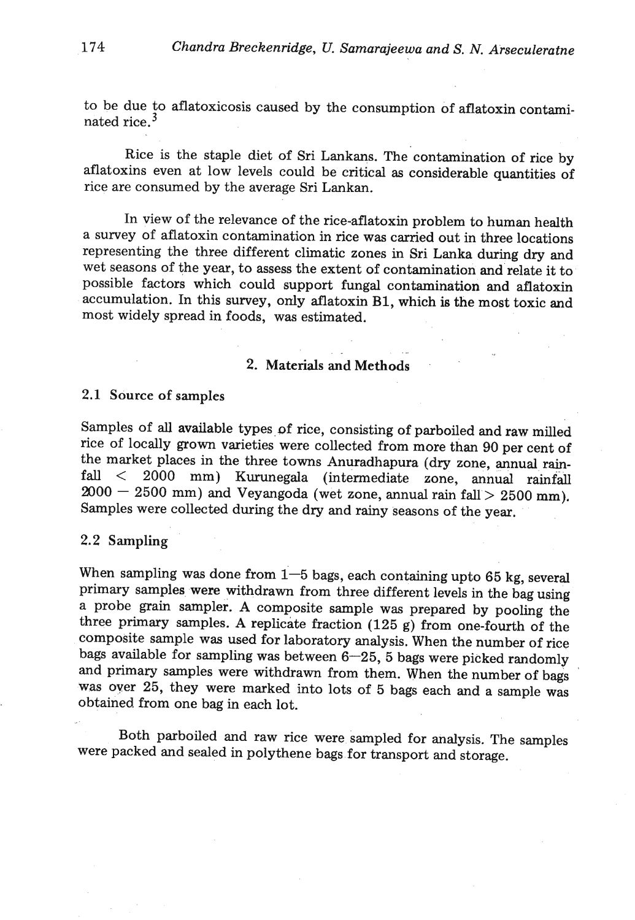to be due to aflatoxicosis caused by the consumption of aflatoxin contaminated rice. $3$ 

Rice is the staple diet of Sri Lankans. The contamination of rice by aflatoxins even at low levels could be critical as considerable quantities of rice are consumed by the average Sri Lankan.

In view of the relevance of the rice-aflatoxin problem to human health a survey of aflatoxin contamination in rice was carried out in three locations representing the three different climatic zones in Sri Lanka during dry and wet seasons of the year, to assess the extent of contamination and relate it to possible factors which could support fungal contamination and aflatoxin accumulation. In this survey, only aflatoxin **B1,** which is the most toxic and most widely spread in foods, was estimated.

# 2. Materials and Methods

. . . .-

### 2.1 Source of samples

Samples of **all** available types of rice, consisting of parboiled and raw milled rice of locally grown varieties were collected from more than 90 per cent of the market places in the three towns Anuradhapura (dry zone, annual rainfall < 2000 mm) Kurunegala (intermediate zone, annual rainfall  $2000 - 2500$  mm) and Veyangoda (wet zone, annual rain fall  $> 2500$  mm). Samples were collected during the dry and rainy seasons of the year.

#### 2.2 Sampling

When sampling was done from  $1-5$  bags, each containing upto 65 kg, several primary samples were withdrawn from three different levels in the bag using a probe grain sampler. A composite sample was prepared by pooling the three primary samples. A replicate fraction (125 g) from one-fourth of the composite sample was used for laboratory analysis. When the number of rice bags available for sampling was between  $6-25$ , 5 bags were picked randomly and primary samples were withdrawn from them. When the number of bags **was** over 25, they were marked into lots of 5 bags each and a sample was obtained from one bag in each lot.

Both parboiled and raw rice were sampled for analysis. The samples were packed and sealed in polythene bags for transport and storage.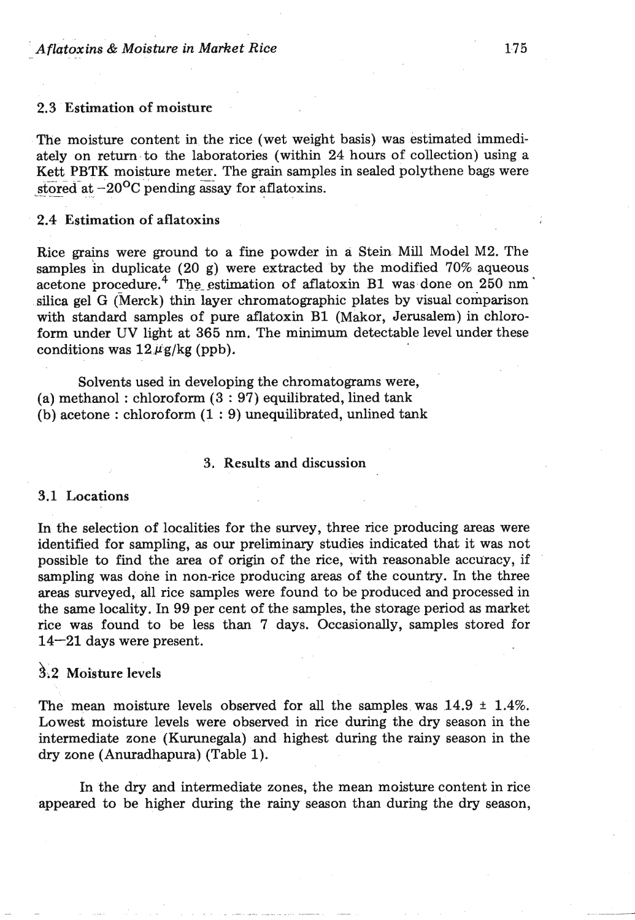### 2.3 Estimation of moisture

The moisture content in the rice (wet weight basis) was estimated immediately on return to the laboratories (within 24 hours of collection) using a Kett PBTK moisture meter. The grain samples in sealed polythene bags were stored at  $-20^{\circ}$ C pending assay for aflatoxins.

#### 2.4 Estimation of aflatoxins

Rice grains were ground to a fine powder in a Stein Mill Model M2. The samples in duplicate (20 g) were extracted by the modified 70% aqueous acetone procedure.<sup>4</sup> The estimation of aflatoxin B1 was done on  $250 \text{ nm}$ silica gel *G* (Merck) thin layer chromatographic plates by visual comparison with standard samples of pure aflatoxin B1 (Makor, Jerusalem) in chloroform under UV light at 365 nm. The minimum detectable level under these conditions was  $12 \mu$ g/kg (ppb).

Solvents used in developing the chromatograms were, (a) methanol : chloroform (3 : 97) equilibrated, lined tank (b) acetone : chloroform  $(1:9)$  unequilibrated, unlined tank

#### **3.** Results **and** discussion

#### **3.1** Locations

In the selection of localities for the survey, three rice producing areas were identified for sampling, as our preliminary studies indicated that it was not possible to find the area of origin of the rice, **with** reasonable accuracy, if sampling was done in non-rice producing areas of the country. In the three areas surveyed, all rice samples were found to be produced and processed in the same locality. In 99 per cent of the samples, the storage period as market rice was found to be less than 7 days. Occasionally, samples stored for 14-21 days were present.

# **hi2** Moisture levels

The mean moisture levels observed for all the samples was  $14.9 \pm 1.4\%$ . Lowest moisture levels were observed in rice during the dry season in the intermediate zone (Kurunegala) and highest during the rainy season in the dry zone (Anuradhapura) (Table 1).

In the dry and intermediate zones, the mean moisture content in rice appeared to be higher during the rainy season than during the dry season,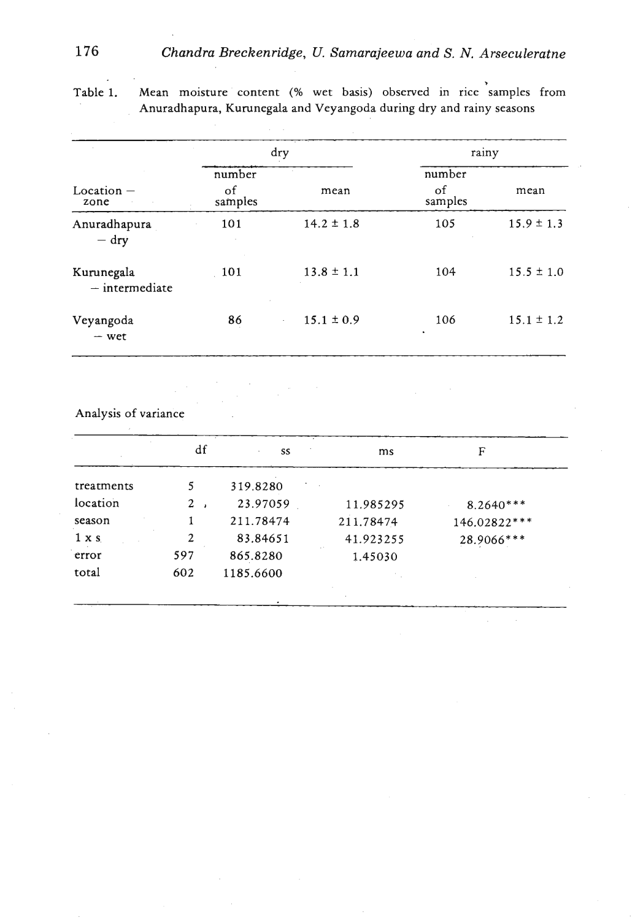|                                |               | dry            | rainy         |                |
|--------------------------------|---------------|----------------|---------------|----------------|
|                                | number        |                | number        |                |
| $Location -$<br>zone           | of<br>samples | mean           | οf<br>samples | mean           |
| Anuradhapura<br>$-$ dry        | 101           | $14.2 \pm 1.8$ | 105           | $15.9 \pm 1.3$ |
| Kurunegala<br>$-$ intermediate | 101           | $13.8 \pm 1.1$ | 104           | $15.5 \pm 1.0$ |
| Veyangoda<br>$-$ wet           | 86            | $15.1 \pm 0.9$ | 106           | $15.1 \pm 1.2$ |

. **Table 1. Mean moisture content** (% **wet basis) observed in rice samples from Anuradhapura, Kumnegala and Veyangoda during dry and rainy seasons** 

**Analysis of variance** 

|           | SS        | ms        | F            |
|-----------|-----------|-----------|--------------|
| 5.        | 319.8280  |           |              |
| $2 \cdot$ | 23.97059  | 11.985295 | $8.2640***$  |
|           | 211.78474 | 211.78474 | 146.02822*** |
| 2         | 83.84651  | 41.923255 | 28.9066***   |
| 597       | 865.8280  | 1.45030   |              |
| 602       | 1185.6600 |           |              |
|           |           |           |              |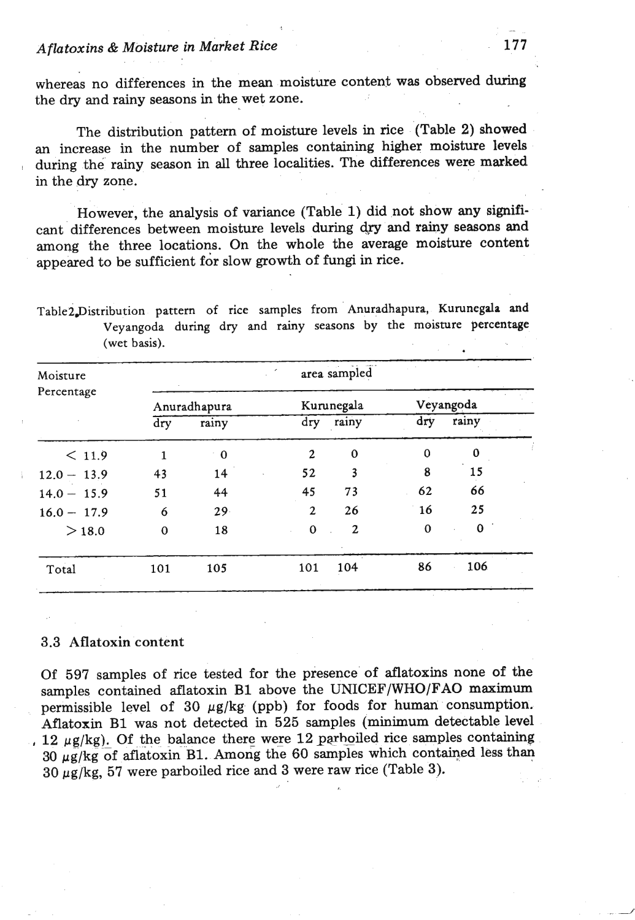### *Aflatoxins* & *Moisture in Market* **Rice**

whereas no differences in the mean moisture content was observed during the dry and rainy seasons in the wet zone.

The distribution pattern of moisture levels in rice (Table **2) showed**  an increase in the number of samples containing higher moisture levels during the rainy season in **all** three localities. The differences were marked in the dry zone.

However, the analysis of variance (Table 1) did not show any significant differences between moisture levels during dry and rainy seasons and among the three locations. On the whole the average moisture content appeared to be sufficient for slow growth of fungi in rice.

Table2.Distribution pattern of rice samples from Anuradhapura, Kurunegala and **Veyangoda during dry and rainy seasons by the moisture percentage (wet basis).** 

| Moisture      |                         |              |                | area sampled |             |              |  |
|---------------|-------------------------|--------------|----------------|--------------|-------------|--------------|--|
| Percentage    |                         | Anuradhapura |                | Kurunegala   |             | Veyangoda    |  |
|               | $\overline{\text{dry}}$ | rainy        | dry            | rainy        | dry         | rainy        |  |
| < 11.9        | 1                       | $^{\circ}$ 0 | $\overline{2}$ | $\mathbf 0$  | $\Omega$    | 0            |  |
| $12.0 - 13.9$ | 43                      | 14           | 52             | 3            | 8           | 15           |  |
| $14.0 - 15.9$ | 51                      | 44           | 45             | 73           | 62          | 66           |  |
| $16.0 - 17.9$ | 6                       | $29 -$       | $\mathbf{2}$   | 26           | 16          | 25           |  |
| >18.0         | $\mathbf 0$             | 18           | $\mathbf 0$    | $\mathbf{2}$ | $\mathbf 0$ | $\mathbf{0}$ |  |
| Total         | 101                     | 105          | 101            | 104          | 86          | 106          |  |

#### *3.3 Aflatoxin content*

Of **597** samples of rice tested for the presence of aflatoxins none of the samples contained aflatoxin **B1** above the **UNICEF/WHO/FAO maximum**  permissible level of 30  $\mu$ g/kg (ppb) for foods for human consumption. Aflatoxin **B1** was not detected in **525** samples (minimum detectable level , 12  $\mu$ g/kg). Of the balance there were 12 parhoiled rice samples containing 30 µg/kg of aflatoxin B1. Among the 60 samples which contained less than 30 pg/kg, **57** were parboiled rice and 3 were raw rice (Table 3).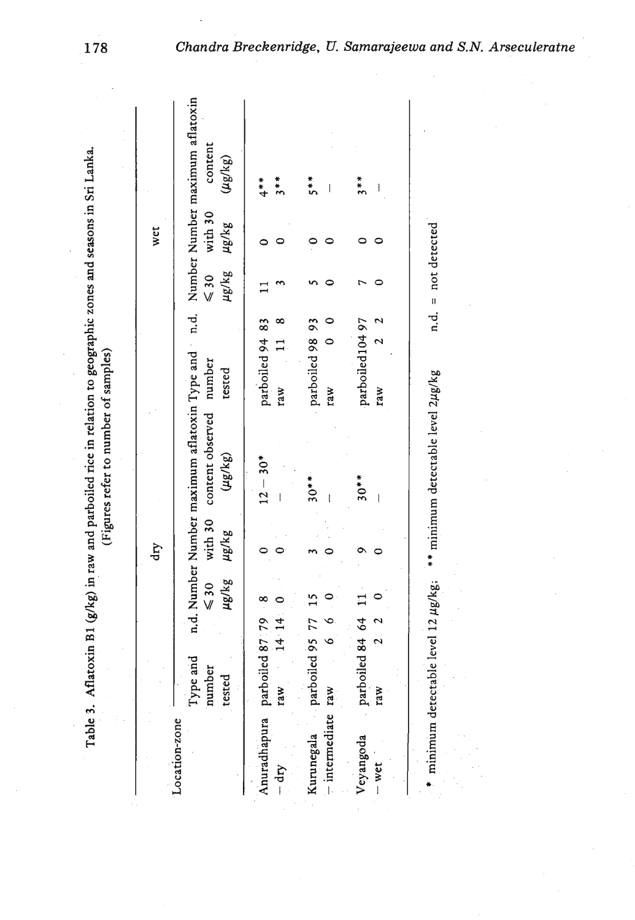| $\lambda$ Aflatovin R1 (afka) in raw and parboiled rice in relation to geographic zones and seasons in St1 Lapr<br>ſ<br>יְ | lad and the total contract of complete in |
|----------------------------------------------------------------------------------------------------------------------------|-------------------------------------------|
|                                                                                                                            |                                           |
| Table 2                                                                                                                    |                                           |

|                               |                              |                         | dry        |                                                 |                      |                               | wet     |                                                                                                               |
|-------------------------------|------------------------------|-------------------------|------------|-------------------------------------------------|----------------------|-------------------------------|---------|---------------------------------------------------------------------------------------------------------------|
| Location-zone                 | Type and<br>number<br>tested | ug/kg<br>$\leqslant 30$ | $\mu$ g/kg | with 30 content observed number<br>$(\mu$ g/kg) | tested               | as/gn as/an<br>$\leqslant 30$ | with 30 | n.d. Number Number maximum aflatoxin Type and n.d. Number Number maximum aflatoxin<br>content<br>$(\mu g/kg)$ |
| Anuradhapura parboiled 87 79  |                              |                         |            | $12 - 30*$                                      | parboiled 94 83      |                               |         | $\ddot{\ddot{\}}$                                                                                             |
| $-$ dry                       | 14 14<br>raw                 |                         |            |                                                 | raw                  |                               |         | $\frac{*}{3}$                                                                                                 |
| Kurunegala parboiled 95 77 15 |                              |                         |            | $30**$                                          | parboiled 98 93      |                               |         | 5**                                                                                                           |
| - intermediate raw            |                              |                         |            |                                                 | $\circ$<br>raw       |                               |         |                                                                                                               |
| Veyangoda                     | parboiled 84 64              |                         |            | $30**$                                          | parboiled10497       |                               |         | $3**$                                                                                                         |
| $-$ wet                       | raw                          |                         |            |                                                 | $\frac{1}{2}$<br>raw |                               |         |                                                                                                               |

178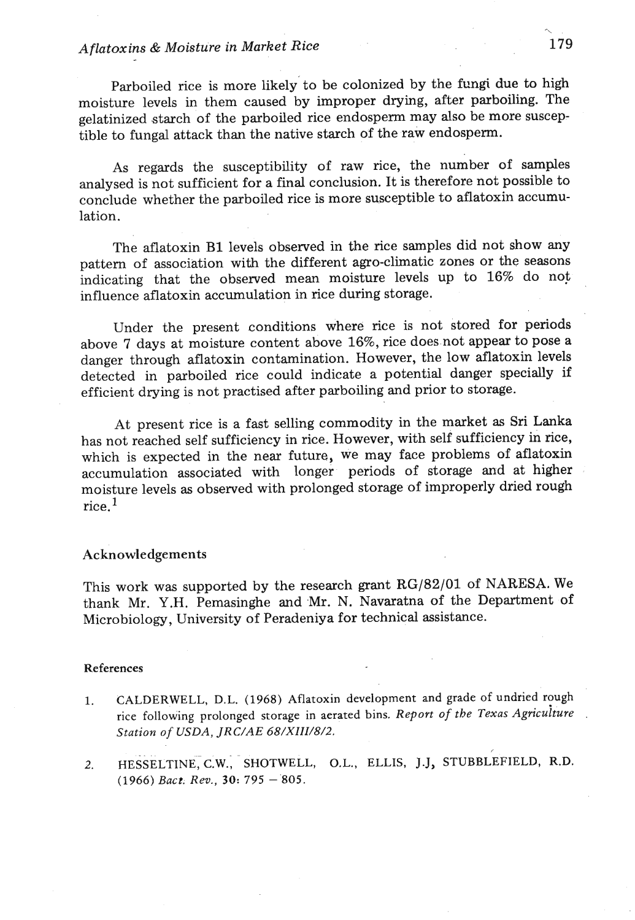# *Aflatoxins &Moisture in Market Rice*

Parboiled rice is more likely to be colonized by the fungi due to high moisture levels in them caused by improper drying, after parboiling. The gelatinized starch of the parboiled rice endosperm may also be more susceptible to fungal attack than the native starch of the raw endosperm.

As regards the susceptibility of raw rice, the number of samples analysed is not sufficient for a final conclusion. It is therefore not possible to conclude whether the parboiled rice is more susceptible to aflatoxin accumulation.

The aflatoxin B1 levels observed in the rice samples did not show any pattern of association with the different agro-climatic zones or the seasons indicating that the observed mean moisture levels up to 16% do not influence aflatoxin accumulation in rice during storage.

Under the present conditions where rice is not stored for periods above 7 days at moisture content above 16%, rice doesnot appear to pose a danger through aflatoxin contamination. However, the low aflatoxin levels detected in parboiled rice could indicate a potential danger specially if efficient drying is not practised after parboiling and prior to storage.

At present rice is a fast selling commodity in the market as Sri Lanka has not reached self sufficiency in rice. However, with self sufficiency in rice, which is expected in the near future, we may face problems of aflatoxin accumulation associated with longer periods of storage and at higher moisture levels as observed with prolonged storage of improperly dried rough rice  $1$ 

#### Acknowledgements

This work was supported by the research grant RG/82/01 of NARESA. We thank Mr. Y.H. Pemasinghe and Mr. N. Navaratna of the Department of Microbiology, University of Peradeniya for technical assistance.

#### **References**

- 1. **CALDERWELL, D.L.** (1968) **Aflatoxin development and grade of undried rough**  rice following prolonged storage in aerated bins. Report of the Texas Agriculture **Station** *of USDA, JRC/AE 68/XIII/8/2.*
- *2.* **HESSELTINE,C.W.; SHOTWELL, o.L., ELLIS, J.J, STUBBLEFIELD, R.D.**  (1966) *Bact. Rev.,* 30: 795 805.